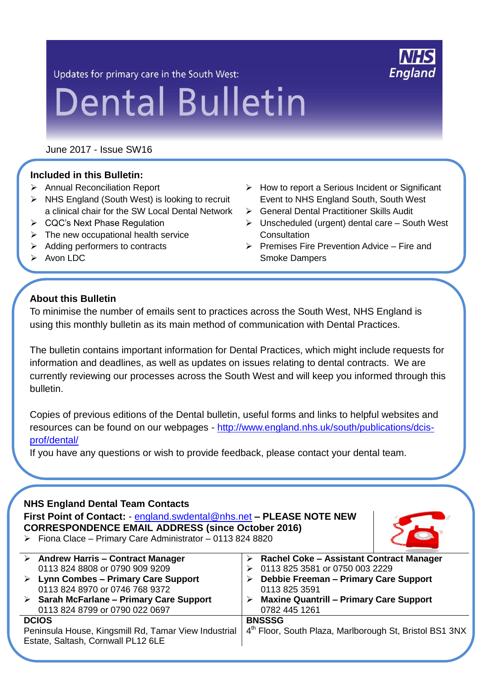Updates for primary care in the South West:

# **Dental Bulletin**

June 2017 - Issue SW16

## **Included in this Bulletin:**

- Annual Reconciliation Report
- $\triangleright$  NHS England (South West) is looking to recruit a clinical chair for the SW Local Dental Network
- CQC's Next Phase Regulation
- $\triangleright$  The new occupational health service
- $\triangleright$  Adding performers to contracts
- $\triangleright$  How to report a Serious Incident or Significant Event to NHS England South, South West
- General Dental Practitioner Skills Audit
- $\triangleright$  Unscheduled (urgent) dental care South West **Consultation**
- $\triangleright$  Premises Fire Prevention Advice Fire and Smoke Dampers

 $\triangleright$  Avon LDC

## **About this Bulletin**

To minimise the number of emails sent to practices across the South West, NHS England is using this monthly bulletin as its main method of communication with Dental Practices.

The bulletin contains important information for Dental Practices, which might include requests for information and deadlines, as well as updates on issues relating to dental contracts. We are currently reviewing our processes across the South West and will keep you informed through this bulletin.

Copies of previous editions of the Dental bulletin, useful forms and links to helpful websites and resources can be found on our webpages - [http://www.england.nhs.uk/south/publications/dcis](http://www.england.nhs.uk/south/publications/dcis-prof/dental/)[prof/dental/](http://www.england.nhs.uk/south/publications/dcis-prof/dental/)

If you have any questions or wish to provide feedback, please contact your dental team.

## **NHS England Dental Team Contacts**

**First Point of Contact:** - [england.swdental@nhs.net](mailto:england.swdental@nhs.net) **– PLEASE NOTE NEW CORRESPONDENCE EMAIL ADDRESS (since October 2016)**  $\triangleright$  Fiona Clace – Primary Care Administrator – 0113 824 8820



|                                                      | $\triangleright$ Andrew Harris – Contract Manager       |               | <b>Rachel Coke - Assistant Contract Manager</b>         |
|------------------------------------------------------|---------------------------------------------------------|---------------|---------------------------------------------------------|
|                                                      | 0113 824 8808 or 0790 909 9209                          |               | 0113 825 3581 or 0750 003 2229                          |
|                                                      | $\triangleright$ Lynn Combes – Primary Care Support     |               | Debbie Freeman - Primary Care Support                   |
|                                                      | 0113 824 8970 or 0746 768 9372                          |               | 0113 825 3591                                           |
|                                                      | $\triangleright$ Sarah McFarlane - Primary Care Support |               | <b>Maxine Quantrill - Primary Care Support</b>          |
|                                                      | 0113 824 8799 or 0790 022 0697                          |               | 0782 445 1261                                           |
| <b>DCIOS</b>                                         |                                                         | <b>BNSSSG</b> |                                                         |
| Peninsula House, Kingsmill Rd, Tamar View Industrial |                                                         |               | 4th Floor, South Plaza, Marlborough St, Bristol BS1 3NX |
|                                                      | Estate, Saltash, Cornwall PL12 6LE                      |               |                                                         |
|                                                      |                                                         |               |                                                         |

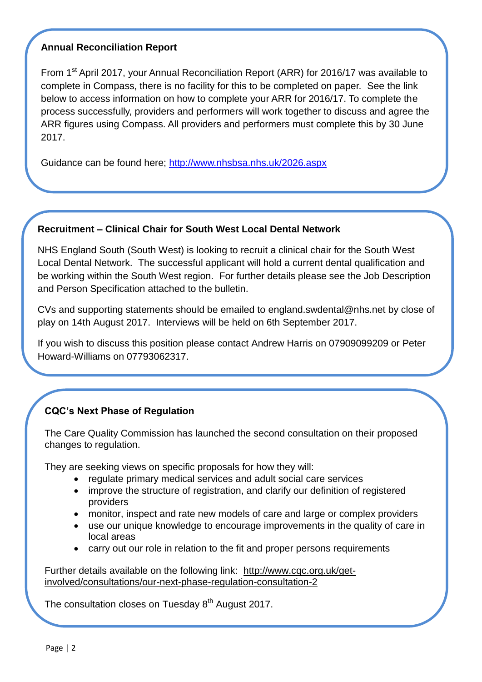## **Annual Reconciliation Report**

From 1<sup>st</sup> April 2017, your Annual Reconciliation Report (ARR) for 2016/17 was available to complete in Compass, there is no facility for this to be completed on paper. See the link below to access information on how to complete your ARR for 2016/17. To complete the process successfully, providers and performers will work together to discuss and agree the ARR figures using Compass. All providers and performers must complete this by 30 June 2017.

Guidance can be found here;<http://www.nhsbsa.nhs.uk/2026.aspx>

#### **Recruitment – Clinical Chair for South West Local Dental Network**

NHS England South (South West) is looking to recruit a clinical chair for the South West Local Dental Network. The successful applicant will hold a current dental qualification and be working within the South West region. For further details please see the Job Description and Person Specification attached to the bulletin.

CVs and supporting statements should be emailed to england.swdental@nhs.net by close of play on 14th August 2017. Interviews will be held on 6th September 2017.

If you wish to discuss this position please contact Andrew Harris on 07909099209 or Peter Howard-Williams on 07793062317.

# **CQC's Next Phase of Regulation**

The Care Quality Commission has launched the second consultation on their proposed changes to regulation.

They are seeking views on specific proposals for how they will:

- regulate primary medical services and adult social care services
- improve the structure of registration, and clarify our definition of registered providers
- monitor, inspect and rate new models of care and large or complex providers
- use our unique knowledge to encourage improvements in the quality of care in local areas
- carry out our role in relation to the fit and proper persons requirements

Further details available on the following link: [http://www.cqc.org.uk/get](http://www.cqc.org.uk/get-involved/consultations/our-next-phase-regulation-consultation-2)[involved/consultations/our-next-phase-regulation-consultation-2](http://www.cqc.org.uk/get-involved/consultations/our-next-phase-regulation-consultation-2)

The consultation closes on Tuesday 8<sup>th</sup> August 2017.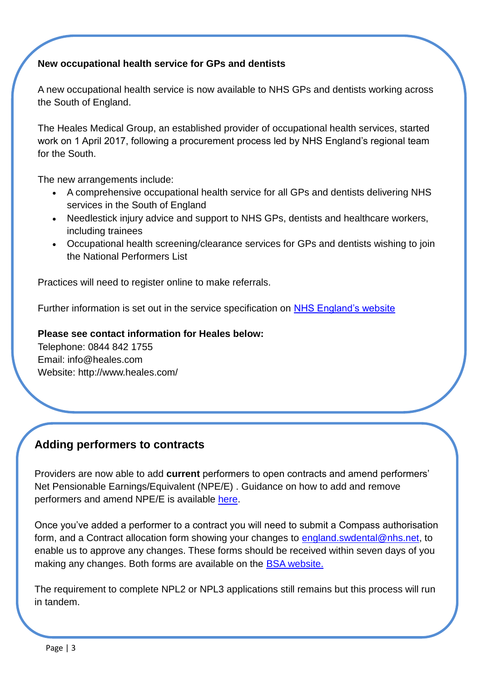## **New occupational health service for GPs and dentists**

A new occupational health service is now available to NHS GPs and dentists working across the South of England.

The Heales Medical Group, an established provider of occupational health services, started work on 1 April 2017, following a procurement process led by NHS England's regional team for the South.

The new arrangements include:

- A comprehensive occupational health service for all GPs and dentists delivering NHS services in the South of England
- Needlestick injury advice and support to NHS GPs, dentists and healthcare workers, including trainees
- Occupational health screening/clearance services for GPs and dentists wishing to join the National Performers List

Practices will need to register online to make referrals.

Further information is set out in the service specification on [NHS England's website](http://www.england.nhs.uk/commissioning/primary-care-comm/resource-primary/)

#### **Please see contact information for Heales below:**

Telephone: 0844 842 1755 Email: info@heales.com Website: http://www.heales.com/

# **Adding performers to contracts**

Providers are now able to add **current** performers to open contracts and amend performers' Net Pensionable Earnings/Equivalent (NPE/E) . Guidance on how to add and remove performers and amend NPE/E is available [here.](https://www.nhsbsa.nhs.uk/compass/compass-help-and-guidance)

Once you've added a performer to a contract you will need to submit a Compass authorisation form, and a Contract allocation form showing your changes to [england.swdental@nhs.net,](mailto:england.swdental@nhs.net) to enable us to approve any changes. These forms should be received within seven days of you making any changes. Both forms are available on the [BSA website.](https://www.nhsbsa.nhs.uk/compass/compass-help-and-guidance)

The requirement to complete NPL2 or NPL3 applications still remains but this process will run in tandem.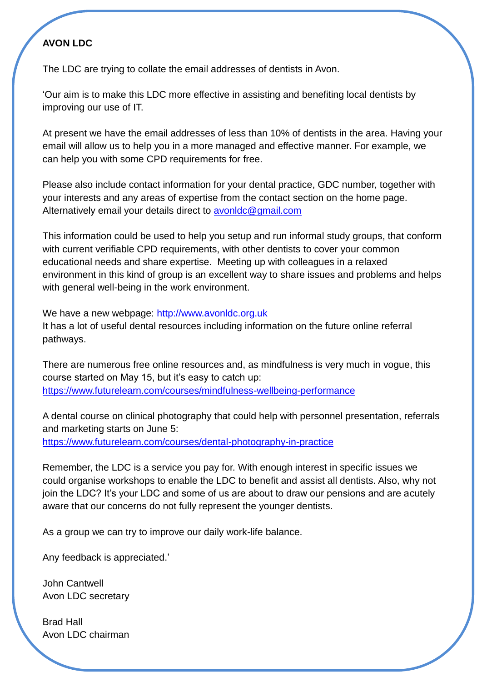# **AVON LDC**

The LDC are trying to collate the email addresses of dentists in Avon.

'Our aim is to make this LDC more effective in assisting and benefiting local dentists by improving our use of IT.

At present we have the email addresses of less than 10% of dentists in the area. Having your email will allow us to help you in a more managed and effective manner. For example, we can help you with some CPD requirements for free.

Please also include contact information for your dental practice, GDC number, together with your interests and any areas of expertise from the contact section on the home page. Alternatively email your details direct to avonidc@gmail.com

This information could be used to help you setup and run informal study groups, that conform with current verifiable CPD requirements, with other dentists to cover your common educational needs and share expertise. Meeting up with colleagues in a relaxed environment in this kind of group is an excellent way to share issues and problems and helps with general well-being in the work environment.

We have a new webpage: [http://www.avonldc.org.uk](http://www.avonldc.org.uk/) It has a lot of useful dental resources including information on the future online referral pathways.

There are numerous free online resources and, as mindfulness is very much in vogue, this course started on May 15, but it's easy to catch up: <https://www.futurelearn.com/courses/mindfulness-wellbeing-performance>

A dental course on clinical photography that could help with personnel presentation, referrals and marketing starts on June 5: <https://www.futurelearn.com/courses/dental-photography-in-practice>

Remember, the LDC is a service you pay for. With enough interest in specific issues we could organise workshops to enable the LDC to benefit and assist all dentists. Also, why not join the LDC? It's your LDC and some of us are about to draw our pensions and are acutely aware that our concerns do not fully represent the younger dentists.

As a group we can try to improve our daily work-life balance.

Any feedback is appreciated.'

John Cantwell Avon LDC secretary

Brad Hall Avon LDC chairman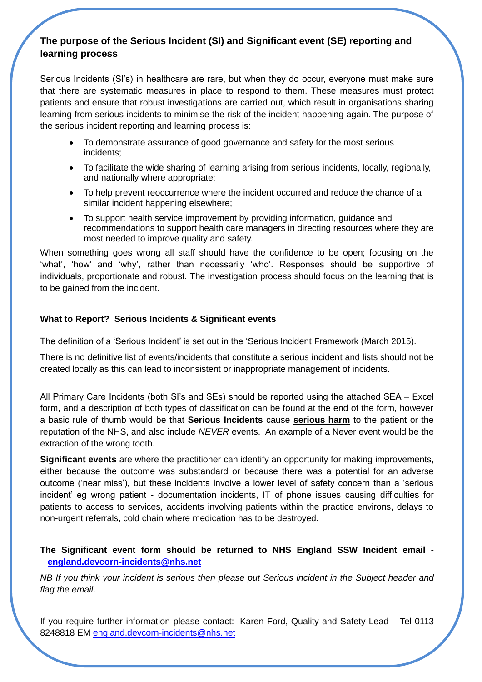## **The purpose of the Serious Incident (SI) and Significant event (SE) reporting and learning process**

Serious Incidents (SI's) in healthcare are rare, but when they do occur, everyone must make sure that there are systematic measures in place to respond to them. These measures must protect patients and ensure that robust investigations are carried out, which result in organisations sharing learning from serious incidents to minimise the risk of the incident happening again. The purpose of the serious incident reporting and learning process is:

- To demonstrate assurance of good governance and safety for the most serious incidents;
- To facilitate the wide sharing of learning arising from serious incidents, locally, regionally, and nationally where appropriate;
- To help prevent reoccurrence where the incident occurred and reduce the chance of a similar incident happening elsewhere;
- To support health service improvement by providing information, guidance and recommendations to support health care managers in directing resources where they are most needed to improve quality and safety.

When something goes wrong all staff should have the confidence to be open; focusing on the 'what', 'how' and 'why', rather than necessarily 'who'. Responses should be supportive of individuals, proportionate and robust. The investigation process should focus on the learning that is to be gained from the incident.

#### **What to Report? Serious Incidents & Significant events**

The definition of a 'Serious Incident' is set out in the ['Serious Incident Framework \(March 2015\).](https://www.england.nhs.uk/patientsafety/wp-content/uploads/sites/32/2015/04/serious-incidnt-framwrk-upd2.pdf)

There is no definitive list of events/incidents that constitute a serious incident and lists should not be created locally as this can lead to inconsistent or inappropriate management of incidents.

All Primary Care Incidents (both SI's and SEs) should be reported using the attached SEA – Excel form, and a description of both types of classification can be found at the end of the form, however a basic rule of thumb would be that **Serious Incidents** cause **serious harm** to the patient or the reputation of the NHS, and also include *NEVER* events. An example of a Never event would be the extraction of the wrong tooth.

**Significant events** are where the practitioner can identify an opportunity for making improvements, either because the outcome was substandard or because there was a potential for an adverse outcome ('near miss'), but these incidents involve a lower level of safety concern than a 'serious incident' eg wrong patient - documentation incidents, IT of phone issues causing difficulties for patients to access to services, accidents involving patients within the practice environs, delays to non-urgent referrals, cold chain where medication has to be destroyed.

#### **The Significant event form should be returned to NHS England SSW Incident email [england.devcorn-incidents@nhs.net](mailto:england.devcorn-incidents@nhs.net)**

*NB If you think your incident is serious then please put Serious incident in the Subject header and flag the email*.

If you require further information please contact: Karen Ford, Quality and Safety Lead – Tel 0113 8248818 EM [england.devcorn-incidents@nhs.net](mailto:england.devcorn-incidents@nhs.net)